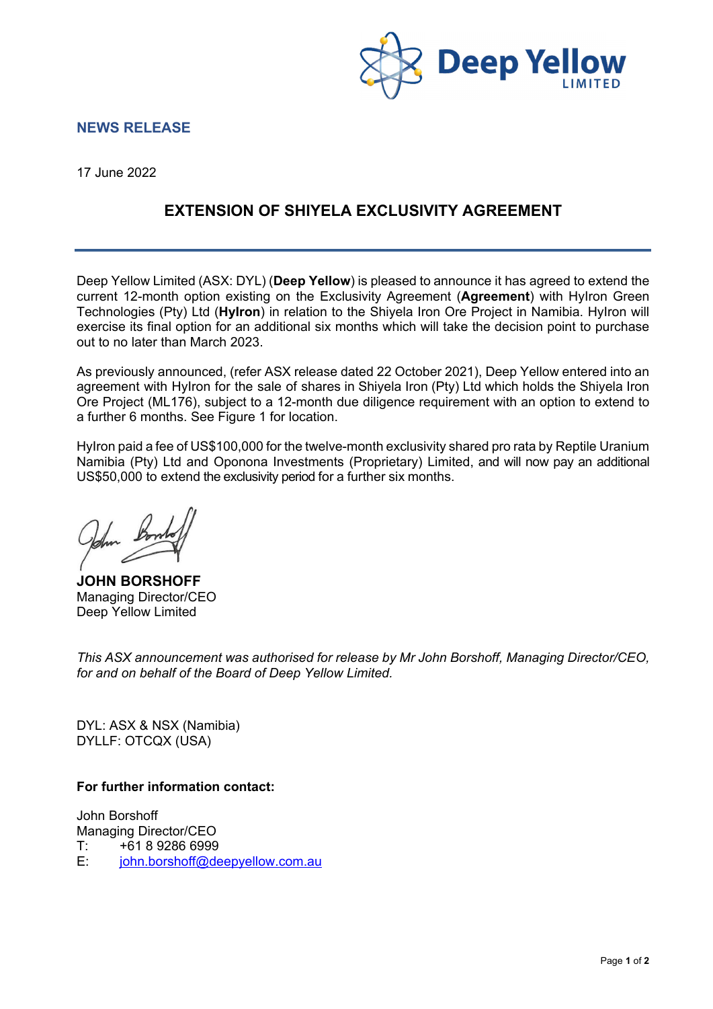

## **NEWS RELEASE**

17 June 2022

## **EXTENSION OF SHIYELA EXCLUSIVITY AGREEMENT**

Deep Yellow Limited (ASX: DYL) (**Deep Yellow**) is pleased to announce it has agreed to extend the current 12-month option existing on the Exclusivity Agreement (**Agreement**) with HyIron Green Technologies (Pty) Ltd (**HyIron**) in relation to the Shiyela Iron Ore Project in Namibia. HyIron will exercise its final option for an additional six months which will take the decision point to purchase out to no later than March 2023.

As previously announced, (refer ASX release dated 22 October 2021), Deep Yellow entered into an agreement with HyIron for the sale of shares in Shiyela Iron (Pty) Ltd which holds the Shiyela Iron Ore Project (ML176), subject to a 12-month due diligence requirement with an option to extend to a further 6 months. See Figure 1 for location.

HyIron paid a fee of US\$100,000 for the twelve-month exclusivity shared pro rata by Reptile Uranium Namibia (Pty) Ltd and Oponona Investments (Proprietary) Limited, and will now pay an additional US\$50,000 to extend the exclusivity period for a further six months.

**JOHN BORSHOFF** Managing Director/CEO Deep Yellow Limited

*This ASX announcement was authorised for release by Mr John Borshoff, Managing Director/CEO, for and on behalf of the Board of Deep Yellow Limited.* 

DYL: ASX & NSX (Namibia) DYLLF: OTCQX (USA)

## **For further information contact:**

John Borshoff Managing Director/CEO T: +61 8 9286 6999 E: john.borshoff@deepyellow.com.au

Page **1** of **2**